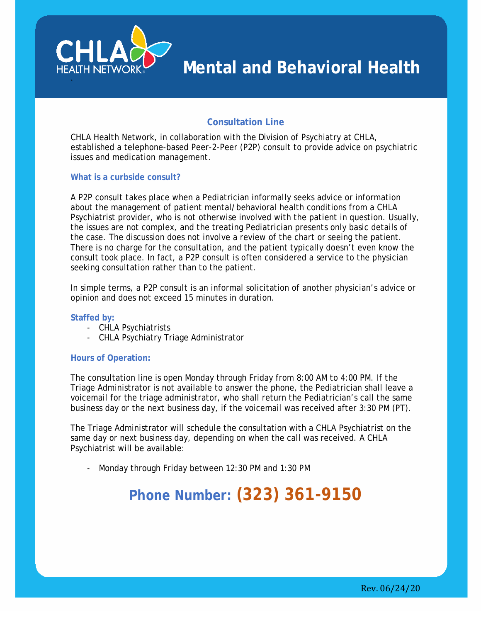

# **Consultation Line**

CHLA Health Network, in collaboration with the Division of Psychiatry at CHLA, established a telephone-based Peer-2-Peer (P2P) consult to provide advice on psychiatric issues and medication management.

## **What is a curbside consult?**

A P2P consult takes place when a Pediatrician informally seeks advice or information about the management of patient mental/behavioral health conditions from a CHLA Psychiatrist provider, who is not otherwise involved with the patient in question. Usually, the issues are not complex, and the treating Pediatrician presents only basic details of the case. The discussion does not involve a review of the chart or seeing the patient. There is no charge for the consultation, and the patient typically doesn't even know the consult took place. In fact, a P2P consult is often considered a service to the physician seeking consultation rather than to the patient.

In simple terms, a P2P consult is an informal solicitation of another physician's advice or opinion and does not exceed 15 minutes in duration.

#### **Staffed by:**

- CHLA Psychiatrists
- CHLA Psychiatry Triage Administrator

## **Hours of Operation:**

The consultation line is open Monday through Friday from 8:00 AM to 4:00 PM. If the Triage Administrator is not available to answer the phone, the Pediatrician shall leave a voicemail for the triage administrator, who shall return the Pediatrician's call the same business day or the next business day, if the voicemail was received after 3:30 PM (PT).

The Triage Administrator will schedule the consultation with a CHLA Psychiatrist on the same day or next business day, depending on when the call was received. A CHLA Psychiatrist will be available:

- Monday through Friday between 12:30 PM and 1:30 PM

# **Phone Number: (323) 361-9150**